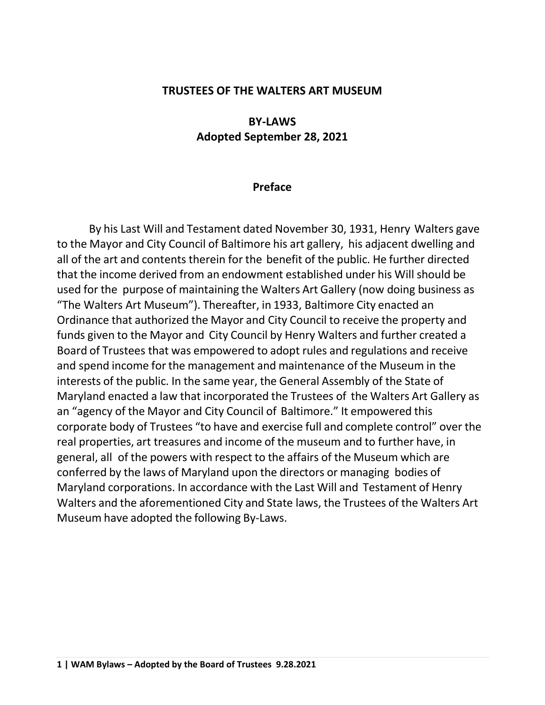#### **TRUSTEES OF THE WALTERS ART MUSEUM**

#### **BY-LAWS Adopted September 28, 2021**

#### **Preface**

By his Last Will and Testament dated November 30, 1931, Henry Walters gave to the Mayor and City Council of Baltimore his art gallery, his adjacent dwelling and all of the art and contents therein for the benefit of the public. He further directed that the income derived from an endowment established under his Will should be used for the purpose of maintaining the Walters Art Gallery (now doing business as "The Walters Art Museum"). Thereafter, in 1933, Baltimore City enacted an Ordinance that authorized the Mayor and City Council to receive the property and funds given to the Mayor and City Council by Henry Walters and further created a Board of Trustees that was empowered to adopt rules and regulations and receive and spend income for the management and maintenance of the Museum in the interests of the public. In the same year, the General Assembly of the State of Maryland enacted a law that incorporated the Trustees of the Walters Art Gallery as an "agency of the Mayor and City Council of Baltimore." It empowered this corporate body of Trustees "to have and exercise full and complete control" over the real properties, art treasures and income of the museum and to further have, in general, all of the powers with respect to the affairs of the Museum which are conferred by the laws of Maryland upon the directors or managing bodies of Maryland corporations. In accordance with the Last Will and Testament of Henry Walters and the aforementioned City and State laws, the Trustees of the Walters Art Museum have adopted the following By-Laws.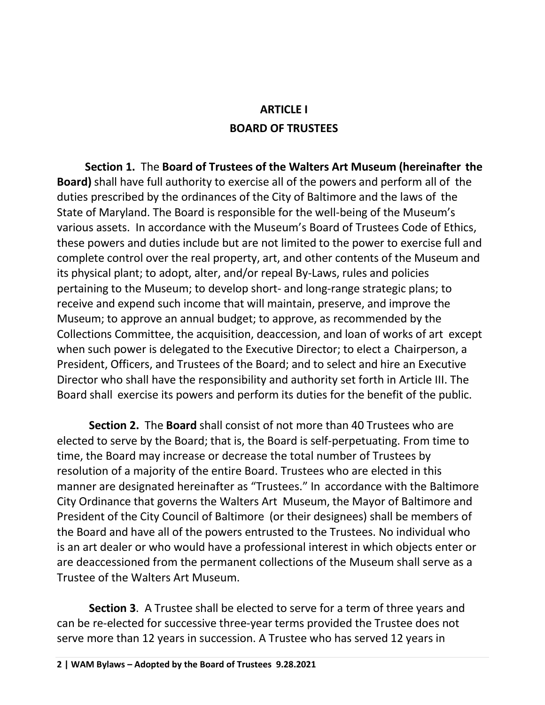## **ARTICLE I BOARD OF TRUSTEES**

**Section 1.** The **Board of Trustees of the Walters Art Museum (hereinafter the Board)** shall have full authority to exercise all of the powers and perform all of the duties prescribed by the ordinances of the City of Baltimore and the laws of the State of Maryland. The Board is responsible for the well-being of the Museum's various assets. In accordance with the Museum's Board of Trustees Code of Ethics, these powers and duties include but are not limited to the power to exercise full and complete control over the real property, art, and other contents of the Museum and its physical plant; to adopt, alter, and/or repeal By-Laws, rules and policies pertaining to the Museum; to develop short- and long-range strategic plans; to receive and expend such income that will maintain, preserve, and improve the Museum; to approve an annual budget; to approve, as recommended by the Collections Committee, the acquisition, deaccession, and loan of works of art except when such power is delegated to the Executive Director; to elect a Chairperson, a President, Officers, and Trustees of the Board; and to select and hire an Executive Director who shall have the responsibility and authority set forth in Article III. The Board shall exercise its powers and perform its duties for the benefit of the public.

**Section 2.** The **Board** shall consist of not more than 40 Trustees who are elected to serve by the Board; that is, the Board is self-perpetuating. From time to time, the Board may increase or decrease the total number of Trustees by resolution of a majority of the entire Board. Trustees who are elected in this manner are designated hereinafter as "Trustees." In accordance with the Baltimore City Ordinance that governs the Walters Art Museum, the Mayor of Baltimore and President of the City Council of Baltimore (or their designees) shall be members of the Board and have all of the powers entrusted to the Trustees. No individual who is an art dealer or who would have a professional interest in which objects enter or are deaccessioned from the permanent collections of the Museum shall serve as a Trustee of the Walters Art Museum.

**Section 3**. A Trustee shall be elected to serve for a term of three years and can be re-elected for successive three-year terms provided the Trustee does not serve more than 12 years in succession. A Trustee who has served 12 years in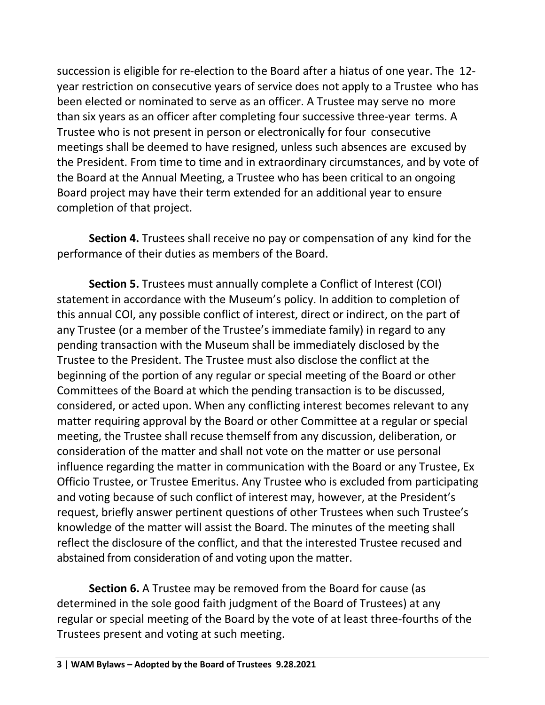succession is eligible for re-election to the Board after a hiatus of one year. The 12 year restriction on consecutive years of service does not apply to a Trustee who has been elected or nominated to serve as an officer. A Trustee may serve no more than six years as an officer after completing four successive three-year terms. A Trustee who is not present in person or electronically for four consecutive meetings shall be deemed to have resigned, unless such absences are excused by the President. From time to time and in extraordinary circumstances, and by vote of the Board at the Annual Meeting, a Trustee who has been critical to an ongoing Board project may have their term extended for an additional year to ensure completion of that project.

**Section 4.** Trustees shall receive no pay or compensation of any kind for the performance of their duties as members of the Board.

**Section 5.** Trustees must annually complete a Conflict of Interest (COI) statement in accordance with the Museum's policy. In addition to completion of this annual COI, any possible conflict of interest, direct or indirect, on the part of any Trustee (or a member of the Trustee's immediate family) in regard to any pending transaction with the Museum shall be immediately disclosed by the Trustee to the President. The Trustee must also disclose the conflict at the beginning of the portion of any regular or special meeting of the Board or other Committees of the Board at which the pending transaction is to be discussed, considered, or acted upon. When any conflicting interest becomes relevant to any matter requiring approval by the Board or other Committee at a regular or special meeting, the Trustee shall recuse themself from any discussion, deliberation, or consideration of the matter and shall not vote on the matter or use personal influence regarding the matter in communication with the Board or any Trustee, Ex Officio Trustee, or Trustee Emeritus. Any Trustee who is excluded from participating and voting because of such conflict of interest may, however, at the President's request, briefly answer pertinent questions of other Trustees when such Trustee's knowledge of the matter will assist the Board. The minutes of the meeting shall reflect the disclosure of the conflict, and that the interested Trustee recused and abstained from consideration of and voting upon the matter.

**Section 6.** A Trustee may be removed from the Board for cause (as determined in the sole good faith judgment of the Board of Trustees) at any regular or special meeting of the Board by the vote of at least three-fourths of the Trustees present and voting at such meeting.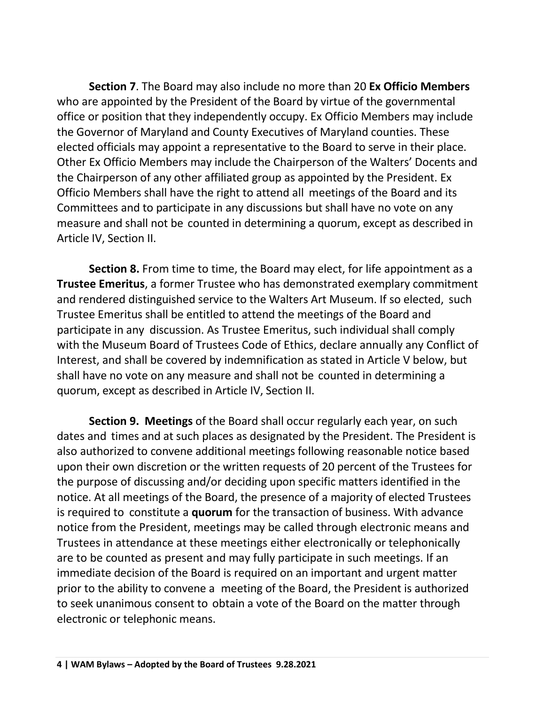**Section 7**. The Board may also include no more than 20 **Ex Officio Members** who are appointed by the President of the Board by virtue of the governmental office or position that they independently occupy. Ex Officio Members may include the Governor of Maryland and County Executives of Maryland counties. These elected officials may appoint a representative to the Board to serve in their place. Other Ex Officio Members may include the Chairperson of the Walters' Docents and the Chairperson of any other affiliated group as appointed by the President. Ex Officio Members shall have the right to attend all meetings of the Board and its Committees and to participate in any discussions but shall have no vote on any measure and shall not be counted in determining a quorum, except as described in Article IV, Section II.

**Section 8.** From time to time, the Board may elect, for life appointment as a **Trustee Emeritus**, a former Trustee who has demonstrated exemplary commitment and rendered distinguished service to the Walters Art Museum. If so elected, such Trustee Emeritus shall be entitled to attend the meetings of the Board and participate in any discussion. As Trustee Emeritus, such individual shall comply with the Museum Board of Trustees Code of Ethics, declare annually any Conflict of Interest, and shall be covered by indemnification as stated in Article V below, but shall have no vote on any measure and shall not be counted in determining a quorum, except as described in Article IV, Section II.

**Section 9. Meetings** of the Board shall occur regularly each year, on such dates and times and at such places as designated by the President. The President is also authorized to convene additional meetings following reasonable notice based upon their own discretion or the written requests of 20 percent of the Trustees for the purpose of discussing and/or deciding upon specific matters identified in the notice. At all meetings of the Board, the presence of a majority of elected Trustees is required to constitute a **quorum** for the transaction of business. With advance notice from the President, meetings may be called through electronic means and Trustees in attendance at these meetings either electronically or telephonically are to be counted as present and may fully participate in such meetings. If an immediate decision of the Board is required on an important and urgent matter prior to the ability to convene a meeting of the Board, the President is authorized to seek unanimous consent to obtain a vote of the Board on the matter through electronic or telephonic means.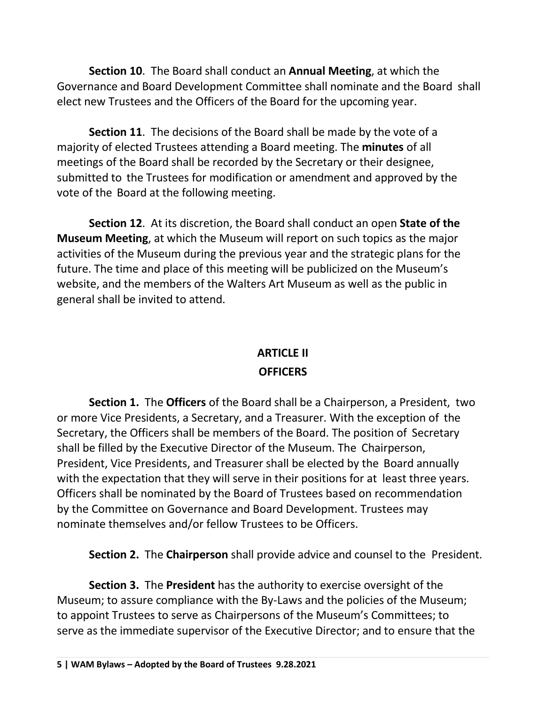**Section 10**. The Board shall conduct an **Annual Meeting**, at which the Governance and Board Development Committee shall nominate and the Board shall elect new Trustees and the Officers of the Board for the upcoming year.

**Section 11**. The decisions of the Board shall be made by the vote of a majority of elected Trustees attending a Board meeting. The **minutes** of all meetings of the Board shall be recorded by the Secretary or their designee, submitted to the Trustees for modification or amendment and approved by the vote of the Board at the following meeting.

**Section 12**. At its discretion, the Board shall conduct an open **State of the Museum Meeting**, at which the Museum will report on such topics as the major activities of the Museum during the previous year and the strategic plans for the future. The time and place of this meeting will be publicized on the Museum's website, and the members of the Walters Art Museum as well as the public in general shall be invited to attend.

# **ARTICLE II**

### **OFFICERS**

**Section 1.** The **Officers** of the Board shall be a Chairperson, a President, two or more Vice Presidents, a Secretary, and a Treasurer. With the exception of the Secretary, the Officers shall be members of the Board. The position of Secretary shall be filled by the Executive Director of the Museum. The Chairperson, President, Vice Presidents, and Treasurer shall be elected by the Board annually with the expectation that they will serve in their positions for at least three years. Officers shall be nominated by the Board of Trustees based on recommendation by the Committee on Governance and Board Development. Trustees may nominate themselves and/or fellow Trustees to be Officers.

**Section 2.** The **Chairperson** shall provide advice and counsel to the President.

**Section 3.** The **President** has the authority to exercise oversight of the Museum; to assure compliance with the By-Laws and the policies of the Museum; to appoint Trustees to serve as Chairpersons of the Museum's Committees; to serve as the immediate supervisor of the Executive Director; and to ensure that the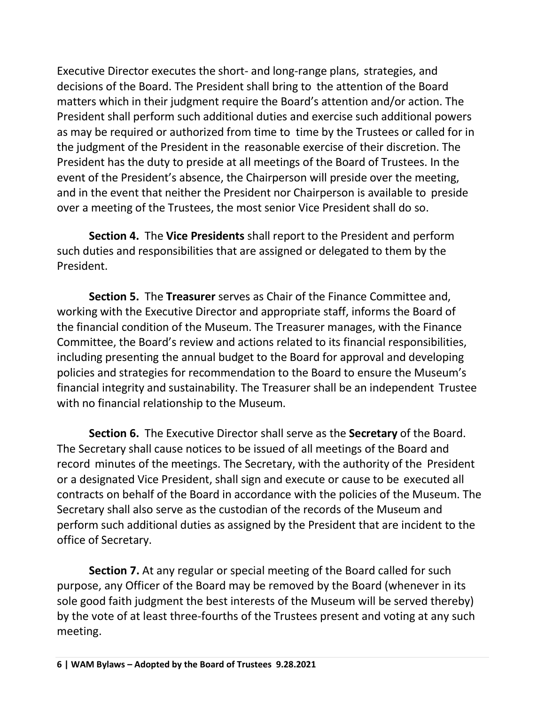Executive Director executes the short- and long-range plans, strategies, and decisions of the Board. The President shall bring to the attention of the Board matters which in their judgment require the Board's attention and/or action. The President shall perform such additional duties and exercise such additional powers as may be required or authorized from time to time by the Trustees or called for in the judgment of the President in the reasonable exercise of their discretion. The President has the duty to preside at all meetings of the Board of Trustees. In the event of the President's absence, the Chairperson will preside over the meeting, and in the event that neither the President nor Chairperson is available to preside over a meeting of the Trustees, the most senior Vice President shall do so.

**Section 4.** The **Vice Presidents** shall report to the President and perform such duties and responsibilities that are assigned or delegated to them by the President.

**Section 5.** The **Treasurer** serves as Chair of the Finance Committee and, working with the Executive Director and appropriate staff, informs the Board of the financial condition of the Museum. The Treasurer manages, with the Finance Committee, the Board's review and actions related to its financial responsibilities, including presenting the annual budget to the Board for approval and developing policies and strategies for recommendation to the Board to ensure the Museum's financial integrity and sustainability. The Treasurer shall be an independent Trustee with no financial relationship to the Museum.

**Section 6.** The Executive Director shall serve as the **Secretary** of the Board. The Secretary shall cause notices to be issued of all meetings of the Board and record minutes of the meetings. The Secretary, with the authority of the President or a designated Vice President, shall sign and execute or cause to be executed all contracts on behalf of the Board in accordance with the policies of the Museum. The Secretary shall also serve as the custodian of the records of the Museum and perform such additional duties as assigned by the President that are incident to the office of Secretary.

**Section 7.** At any regular or special meeting of the Board called for such purpose, any Officer of the Board may be removed by the Board (whenever in its sole good faith judgment the best interests of the Museum will be served thereby) by the vote of at least three-fourths of the Trustees present and voting at any such meeting.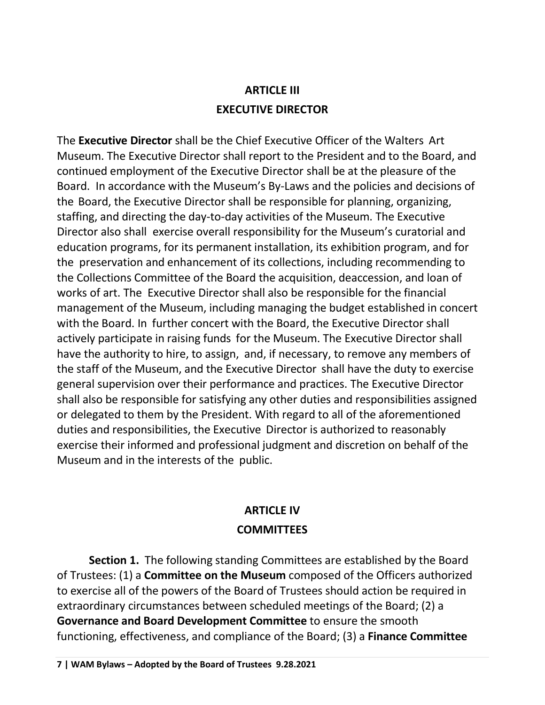# **ARTICLE III EXECUTIVE DIRECTOR**

The **Executive Director** shall be the Chief Executive Officer of the Walters Art Museum. The Executive Director shall report to the President and to the Board, and continued employment of the Executive Director shall be at the pleasure of the Board. In accordance with the Museum's By-Laws and the policies and decisions of the Board, the Executive Director shall be responsible for planning, organizing, staffing, and directing the day-to-day activities of the Museum. The Executive Director also shall exercise overall responsibility for the Museum's curatorial and education programs, for its permanent installation, its exhibition program, and for the preservation and enhancement of its collections, including recommending to the Collections Committee of the Board the acquisition, deaccession, and loan of works of art. The Executive Director shall also be responsible for the financial management of the Museum, including managing the budget established in concert with the Board. In further concert with the Board, the Executive Director shall actively participate in raising funds for the Museum. The Executive Director shall have the authority to hire, to assign, and, if necessary, to remove any members of the staff of the Museum, and the Executive Director shall have the duty to exercise general supervision over their performance and practices. The Executive Director shall also be responsible for satisfying any other duties and responsibilities assigned or delegated to them by the President. With regard to all of the aforementioned duties and responsibilities, the Executive Director is authorized to reasonably exercise their informed and professional judgment and discretion on behalf of the Museum and in the interests of the public.

## **ARTICLE IV COMMITTEES**

**Section 1.** The following standing Committees are established by the Board of Trustees: (1) a **Committee on the Museum** composed of the Officers authorized to exercise all of the powers of the Board of Trustees should action be required in extraordinary circumstances between scheduled meetings of the Board; (2) a **Governance and Board Development Committee** to ensure the smooth functioning, effectiveness, and compliance of the Board; (3) a **Finance Committee**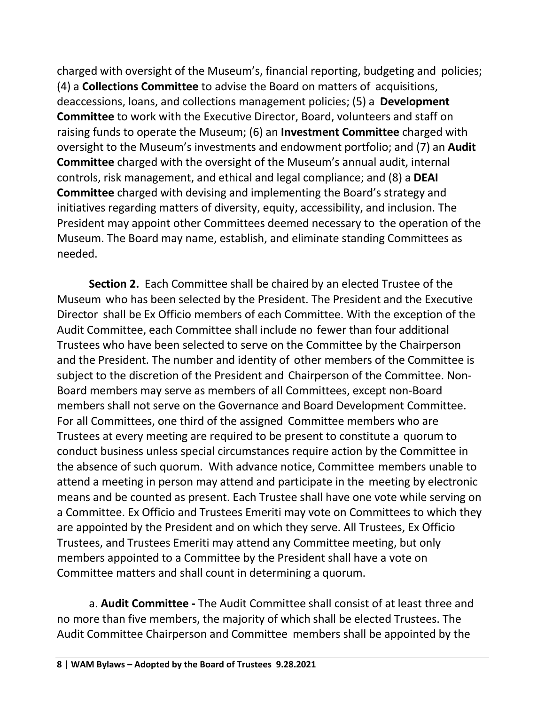charged with oversight of the Museum's, financial reporting, budgeting and policies; (4) a **Collections Committee** to advise the Board on matters of acquisitions, deaccessions, loans, and collections management policies; (5) a **Development Committee** to work with the Executive Director, Board, volunteers and staff on raising funds to operate the Museum; (6) an **Investment Committee** charged with oversight to the Museum's investments and endowment portfolio; and (7) an **Audit Committee** charged with the oversight of the Museum's annual audit, internal controls, risk management, and ethical and legal compliance; and (8) a **DEAI Committee** charged with devising and implementing the Board's strategy and initiatives regarding matters of diversity, equity, accessibility, and inclusion. The President may appoint other Committees deemed necessary to the operation of the Museum. The Board may name, establish, and eliminate standing Committees as needed.

**Section 2.** Each Committee shall be chaired by an elected Trustee of the Museum who has been selected by the President. The President and the Executive Director shall be Ex Officio members of each Committee. With the exception of the Audit Committee, each Committee shall include no fewer than four additional Trustees who have been selected to serve on the Committee by the Chairperson and the President. The number and identity of other members of the Committee is subject to the discretion of the President and Chairperson of the Committee. Non-Board members may serve as members of all Committees, except non-Board members shall not serve on the Governance and Board Development Committee. For all Committees, one third of the assigned Committee members who are Trustees at every meeting are required to be present to constitute a quorum to conduct business unless special circumstances require action by the Committee in the absence of such quorum. With advance notice, Committee members unable to attend a meeting in person may attend and participate in the meeting by electronic means and be counted as present. Each Trustee shall have one vote while serving on a Committee. Ex Officio and Trustees Emeriti may vote on Committees to which they are appointed by the President and on which they serve. All Trustees, Ex Officio Trustees, and Trustees Emeriti may attend any Committee meeting, but only members appointed to a Committee by the President shall have a vote on Committee matters and shall count in determining a quorum.

a. **Audit Committee -** The Audit Committee shall consist of at least three and no more than five members, the majority of which shall be elected Trustees. The Audit Committee Chairperson and Committee members shall be appointed by the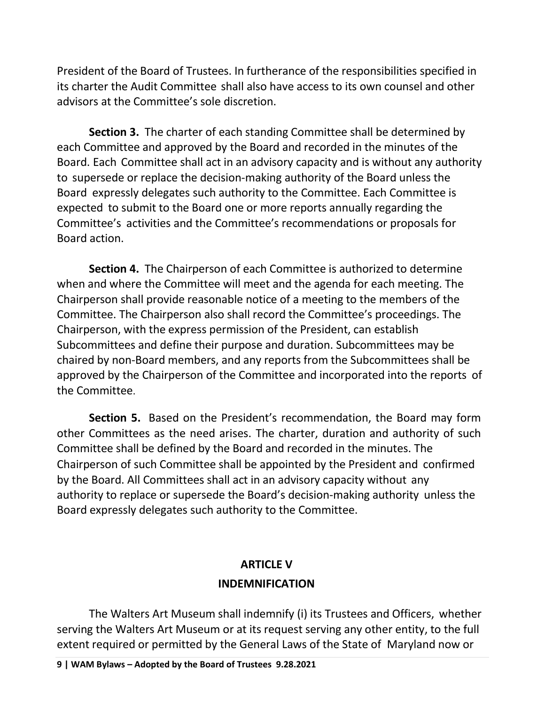President of the Board of Trustees. In furtherance of the responsibilities specified in its charter the Audit Committee shall also have access to its own counsel and other advisors at the Committee's sole discretion.

**Section 3.** The charter of each standing Committee shall be determined by each Committee and approved by the Board and recorded in the minutes of the Board. Each Committee shall act in an advisory capacity and is without any authority to supersede or replace the decision-making authority of the Board unless the Board expressly delegates such authority to the Committee. Each Committee is expected to submit to the Board one or more reports annually regarding the Committee's activities and the Committee's recommendations or proposals for Board action.

**Section 4.** The Chairperson of each Committee is authorized to determine when and where the Committee will meet and the agenda for each meeting. The Chairperson shall provide reasonable notice of a meeting to the members of the Committee. The Chairperson also shall record the Committee's proceedings. The Chairperson, with the express permission of the President, can establish Subcommittees and define their purpose and duration. Subcommittees may be chaired by non-Board members, and any reports from the Subcommittees shall be approved by the Chairperson of the Committee and incorporated into the reports of the Committee.

**Section 5.** Based on the President's recommendation, the Board may form other Committees as the need arises. The charter, duration and authority of such Committee shall be defined by the Board and recorded in the minutes. The Chairperson of such Committee shall be appointed by the President and confirmed by the Board. All Committees shall act in an advisory capacity without any authority to replace or supersede the Board's decision-making authority unless the Board expressly delegates such authority to the Committee.

## **ARTICLE V INDEMNIFICATION**

The Walters Art Museum shall indemnify (i) its Trustees and Officers, whether serving the Walters Art Museum or at its request serving any other entity, to the full extent required or permitted by the General Laws of the State of Maryland now or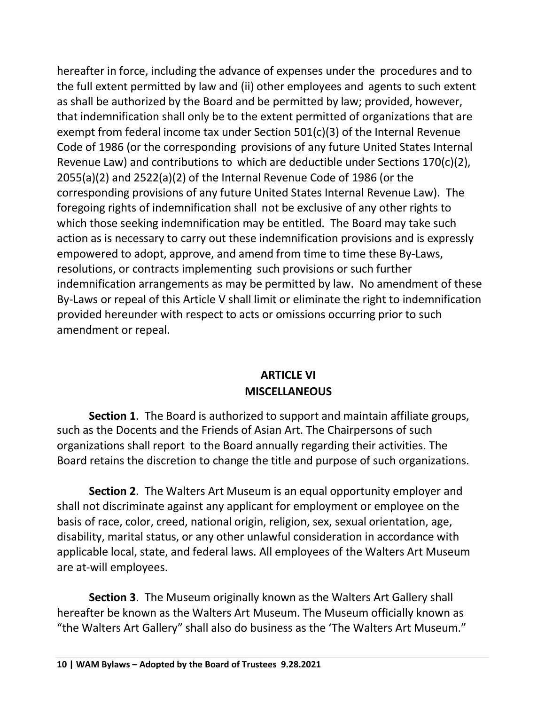hereafter in force, including the advance of expenses under the procedures and to the full extent permitted by law and (ii) other employees and agents to such extent as shall be authorized by the Board and be permitted by law; provided, however, that indemnification shall only be to the extent permitted of organizations that are exempt from federal income tax under Section 501(c)(3) of the Internal Revenue Code of 1986 (or the corresponding provisions of any future United States Internal Revenue Law) and contributions to which are deductible under Sections 170(c)(2), 2055(a)(2) and 2522(a)(2) of the Internal Revenue Code of 1986 (or the corresponding provisions of any future United States Internal Revenue Law). The foregoing rights of indemnification shall not be exclusive of any other rights to which those seeking indemnification may be entitled. The Board may take such action as is necessary to carry out these indemnification provisions and is expressly empowered to adopt, approve, and amend from time to time these By-Laws, resolutions, or contracts implementing such provisions or such further indemnification arrangements as may be permitted by law. No amendment of these By-Laws or repeal of this Article V shall limit or eliminate the right to indemnification provided hereunder with respect to acts or omissions occurring prior to such amendment or repeal.

### **ARTICLE VI MISCELLANEOUS**

**Section 1**. The Board is authorized to support and maintain affiliate groups, such as the Docents and the Friends of Asian Art. The Chairpersons of such organizations shall report to the Board annually regarding their activities. The Board retains the discretion to change the title and purpose of such organizations.

**Section 2**. The Walters Art Museum is an equal opportunity employer and shall not discriminate against any applicant for employment or employee on the basis of race, color, creed, national origin, religion, sex, sexual orientation, age, disability, marital status, or any other unlawful consideration in accordance with applicable local, state, and federal laws. All employees of the Walters Art Museum are at-will employees.

**Section 3**. The Museum originally known as the Walters Art Gallery shall hereafter be known as the Walters Art Museum. The Museum officially known as "the Walters Art Gallery" shall also do business as the 'The Walters Art Museum."